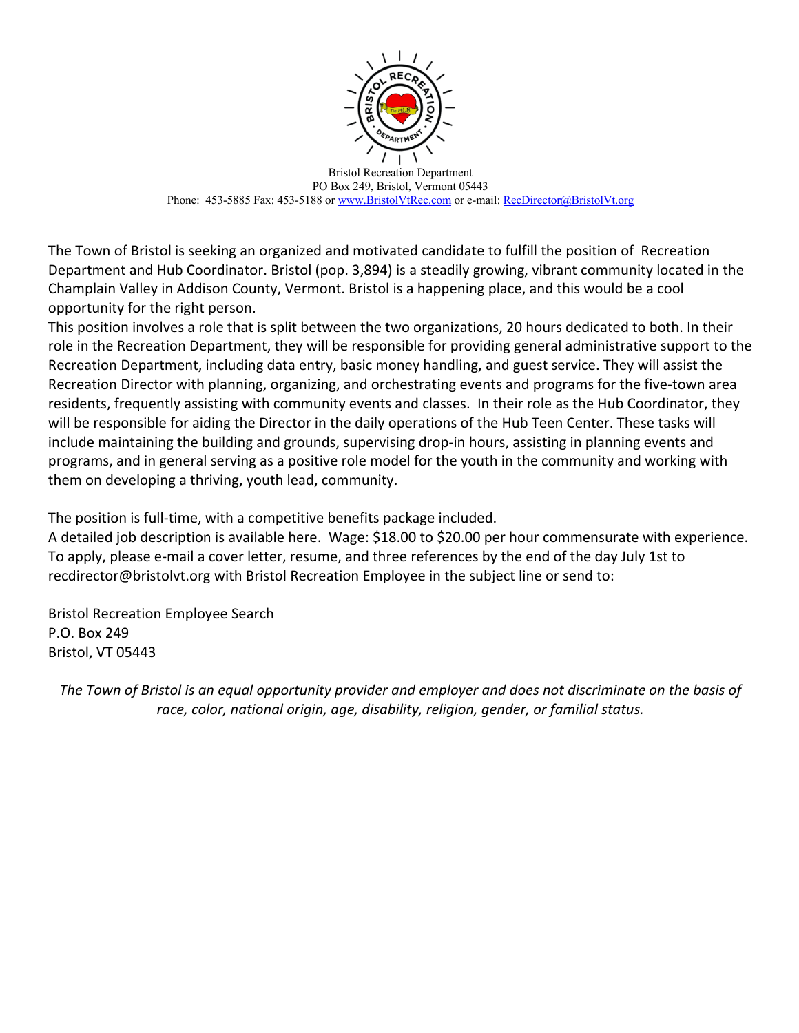

Bristol Recreation Department PO Box 249, Bristol, Vermont 05443 Phone: 453-5885 Fax: 453-5188 or www.BristolVtRec.com or e-mail: RecDirector@BristolVt.org

The Town of Bristol is seeking an organized and motivated candidate to fulfill the position of Recreation Department and Hub Coordinator. Bristol (pop. 3,894) is a steadily growing, vibrant community located in the Champlain Valley in Addison County, Vermont. Bristol is a happening place, and this would be a cool opportunity for the right person.

This position involves a role that is split between the two organizations, 20 hours dedicated to both. In their role in the Recreation Department, they will be responsible for providing general administrative support to the Recreation Department, including data entry, basic money handling, and guest service. They will assist the Recreation Director with planning, organizing, and orchestrating events and programs for the five-town area residents, frequently assisting with community events and classes. In their role as the Hub Coordinator, they will be responsible for aiding the Director in the daily operations of the Hub Teen Center. These tasks will include maintaining the building and grounds, supervising drop-in hours, assisting in planning events and programs, and in general serving as a positive role model for the youth in the community and working with them on developing a thriving, youth lead, community.

The position is full-time, with a competitive benefits package included.

A detailed job description is available here. Wage: \$18.00 to \$20.00 per hour commensurate with experience. To apply, please e-mail a cover letter, resume, and three references by the end of the day July 1st to recdirector@bristolvt.org with Bristol Recreation Employee in the subject line or send to:

Bristol Recreation Employee Search P.O. Box 249 Bristol, VT 05443

*The Town of Bristol is an equal opportunity provider and employer and does not discriminate on the basis of race, color, national origin, age, disability, religion, gender, or familial status.*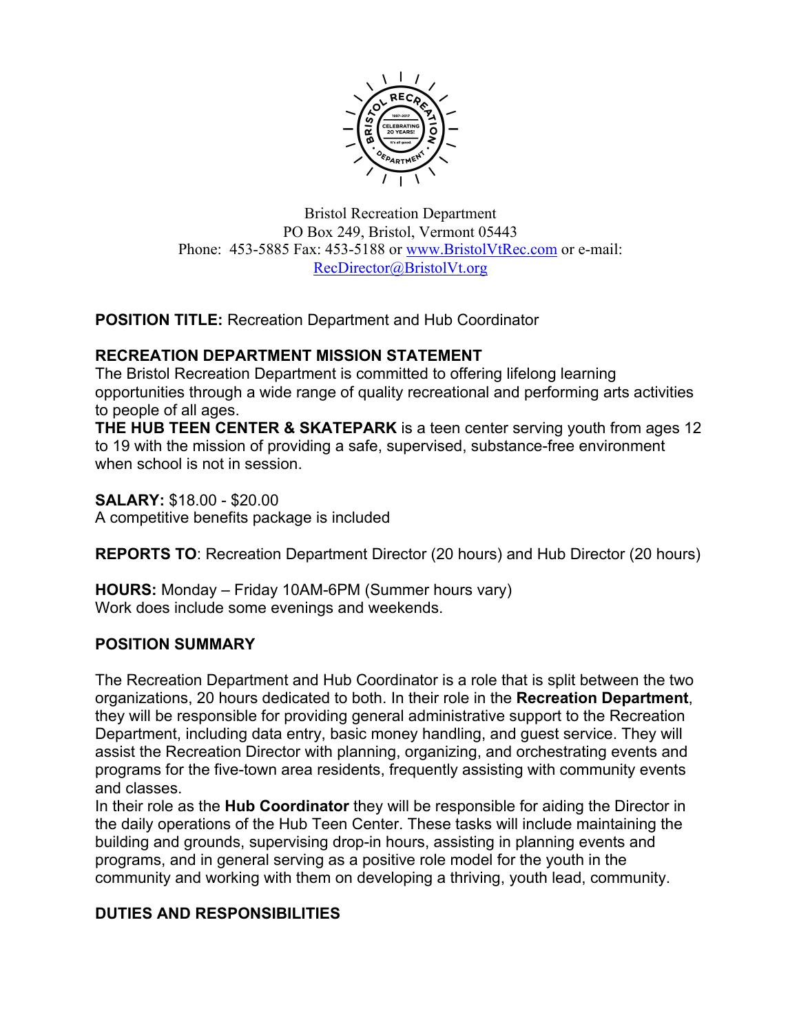

Bristol Recreation Department PO Box 249, Bristol, Vermont 05443 Phone: 453-5885 Fax: 453-5188 or www.BristolVtRec.com or e-mail: RecDirector@BristolVt.org

**POSITION TITLE:** Recreation Department and Hub Coordinator

## **RECREATION DEPARTMENT MISSION STATEMENT**

The Bristol Recreation Department is committed to offering lifelong learning opportunities through a wide range of quality recreational and performing arts activities to people of all ages.

**THE HUB TEEN CENTER & SKATEPARK** is a teen center serving youth from ages 12 to 19 with the mission of providing a safe, supervised, substance-free environment when school is not in session.

**SALARY:** \$18.00 - \$20.00 A competitive benefits package is included

**REPORTS TO**: Recreation Department Director (20 hours) and Hub Director (20 hours)

**HOURS:** Monday – Friday 10AM-6PM (Summer hours vary) Work does include some evenings and weekends.

# **POSITION SUMMARY**

The Recreation Department and Hub Coordinator is a role that is split between the two organizations, 20 hours dedicated to both. In their role in the **Recreation Department**, they will be responsible for providing general administrative support to the Recreation Department, including data entry, basic money handling, and guest service. They will assist the Recreation Director with planning, organizing, and orchestrating events and programs for the five-town area residents, frequently assisting with community events and classes.

In their role as the **Hub Coordinator** they will be responsible for aiding the Director in the daily operations of the Hub Teen Center. These tasks will include maintaining the building and grounds, supervising drop-in hours, assisting in planning events and programs, and in general serving as a positive role model for the youth in the community and working with them on developing a thriving, youth lead, community.

# **DUTIES AND RESPONSIBILITIES**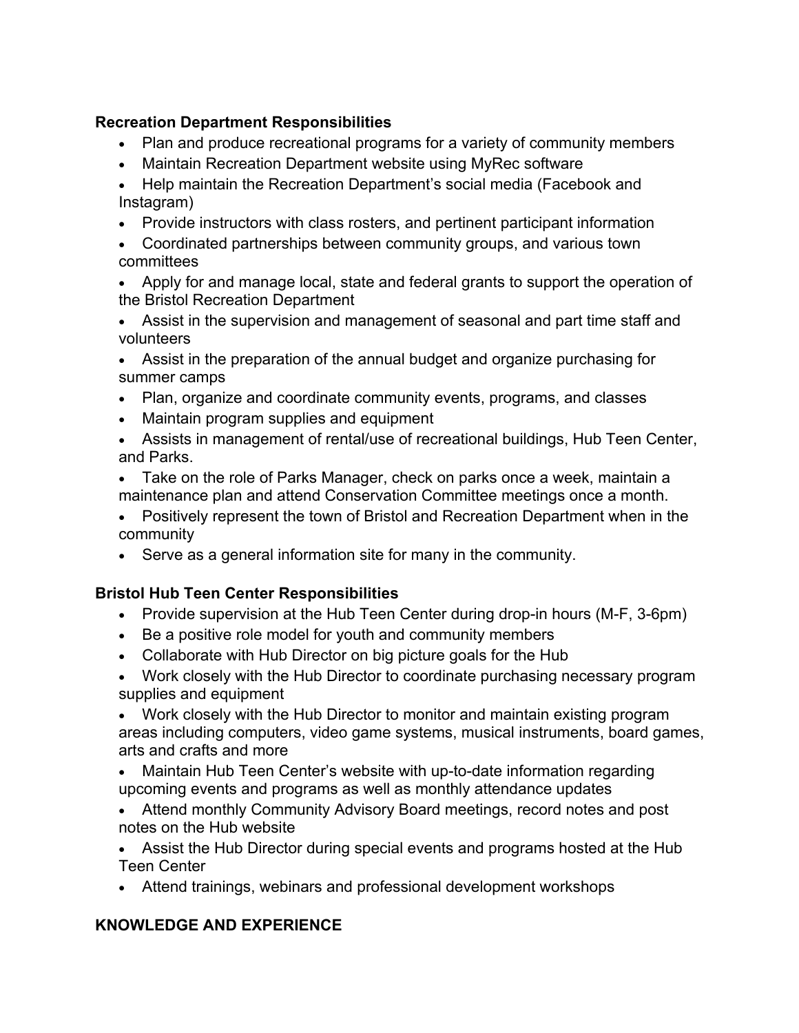# **Recreation Department Responsibilities**

- Plan and produce recreational programs for a variety of community members
- Maintain Recreation Department website using MyRec software
- Help maintain the Recreation Department's social media (Facebook and Instagram)
- Provide instructors with class rosters, and pertinent participant information
- Coordinated partnerships between community groups, and various town committees
- Apply for and manage local, state and federal grants to support the operation of the Bristol Recreation Department
- Assist in the supervision and management of seasonal and part time staff and volunteers
- Assist in the preparation of the annual budget and organize purchasing for summer camps
- Plan, organize and coordinate community events, programs, and classes
- Maintain program supplies and equipment
- Assists in management of rental/use of recreational buildings, Hub Teen Center, and Parks.
- Take on the role of Parks Manager, check on parks once a week, maintain a maintenance plan and attend Conservation Committee meetings once a month.
- Positively represent the town of Bristol and Recreation Department when in the community
- Serve as a general information site for many in the community.

# **Bristol Hub Teen Center Responsibilities**

- Provide supervision at the Hub Teen Center during drop-in hours (M-F, 3-6pm)
- Be a positive role model for youth and community members
- Collaborate with Hub Director on big picture goals for the Hub
- Work closely with the Hub Director to coordinate purchasing necessary program supplies and equipment

• Work closely with the Hub Director to monitor and maintain existing program areas including computers, video game systems, musical instruments, board games, arts and crafts and more

- Maintain Hub Teen Center's website with up-to-date information regarding upcoming events and programs as well as monthly attendance updates
- Attend monthly Community Advisory Board meetings, record notes and post notes on the Hub website
- Assist the Hub Director during special events and programs hosted at the Hub Teen Center
- Attend trainings, webinars and professional development workshops

# **KNOWLEDGE AND EXPERIENCE**